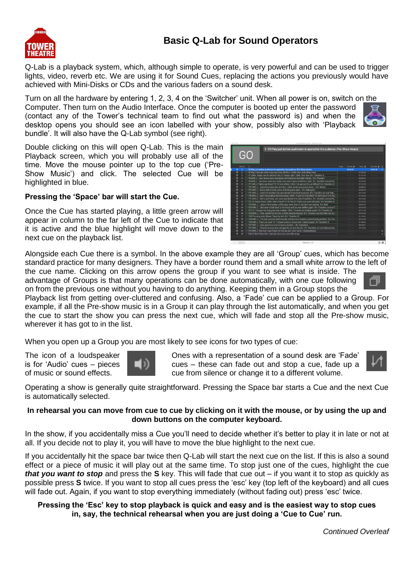## **Basic Q-Lab for Sound Operators**

Q-Lab is a playback system, which, although simple to operate, is very powerful and can be used to trigger lights, video, reverb etc. We are using it for Sound Cues, replacing the actions you previously would have achieved with Mini-Disks or CDs and the various faders on a sound desk.

Turn on all the hardware by entering 1, 2, 3, 4 on the 'Switcher' unit. When all power is on, switch on the Computer. Then turn on the Audio Interface. Once the computer is booted up enter the password (contact any of the Tower's technical team to find out what the password is) and when the desktop opens you should see an icon labelled with your show, possibly also with 'Playback bundle'. It will also have the Q-Lab symbol (see right).

Double clicking on this will open Q-Lab. This is the main Playback screen, which you will probably use all of the time. Move the mouse pointer up to the top cue ('Pre-Show Music') and click. The selected Cue will be highlighted in blue.

## **Pressing the 'Space' bar will start the Cue.**

Once the Cue has started playing, a little green arrow will appear in column to the far left of the Cue to indicate that it is active and the blue highlight will move down to the next cue on the playback list.

Alongside each Cue there is a symbol. In the above example they are all 'Group' cues, which has become standard practice for many designers. They have a border round them and a small white arrow to the left of

the cue name. Clicking on this arrow opens the group if you want to see what is inside. The advantage of Groups is that many operations can be done automatically, with one cue following on from the previous one without you having to do anything. Keeping them in a Group stops the

Playback list from getting over-cluttered and confusing. Also, a 'Fade' cue can be applied to a Group. For example, if all the Pre-show music is in a Group it can play through the list automatically, and when you get the cue to start the show you can press the next cue, which will fade and stop all the Pre-show music, wherever it has got to in the list.

When you open up a Group you are most likely to see icons for two types of cue:

The icon of a loudspeaker is for 'Audio' cues – pieces of music or sound effects.

Ones with a representation of a sound desk are 'Fade' cues – these can fade out and stop a cue, fade up a cue from silence or change it to a different volume.

Operating a show is generally quite straightforward. Pressing the Space bar starts a Cue and the next Cue is automatically selected.

## **In rehearsal you can move from cue to cue by clicking on it with the mouse, or by using the up and down buttons on the computer keyboard.**

In the show, if you accidentally miss a Cue you'll need to decide whether it's better to play it in late or not at all. If you decide not to play it, you will have to move the blue highlight to the next cue.

If you accidentally hit the space bar twice then Q-Lab will start the next cue on the list. If this is also a sound effect or a piece of music it will play out at the same time. To stop just one of the cues, highlight the cue *that you want to stop* and press the **S** key. This will fade that cue out – if you want it to stop as quickly as possible press **S** twice. If you want to stop all cues press the 'esc' key (top left of the keyboard) and all cues will fade out. Again, if you want to stop everything immediately (without fading out) press 'esc' twice.

## **Pressing the 'Esc' key to stop playback is quick and easy and is the easiest way to stop cues in, say, the technical rehearsal when you are just doing a 'Cue to Cue' run.**

*Continued Overleaf*